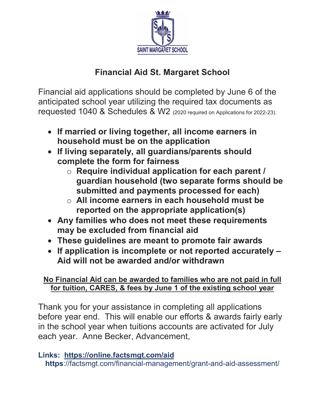

## **Financial Aid St. Margaret School**

Financial aid applications should be completed by June 6 of the anticipated school year utilizing the required tax documents as requested 1040 & Schedules & W2 (2020 required on Applications for 2022-23).

- **If married or living together, all income earners in household must be on the application**
- **If living separately, all guardians/parents should complete the form for fairness**
	- o **Require individual application for each parent / guardian household (two separate forms should be submitted and payments processed for each)**
	- o **All income earners in each household must be reported on the appropriate application(s)**
- **Any families who does not meet these requirements may be excluded from financial aid**
- **These guidelines are meant to promote fair awards**
- **If application is incomplete or not reported accurately – Aid will not be awarded and/or withdrawn**

## **No Financial Aid can be awarded to families who are not paid in full for tuition, CARES, & fees by June 1 of the existing school year**

Thank you for your assistance in completing all applications before year end. This will enable our efforts & awards fairly early in the school year when tuitions accounts are activated for July each year. Anne Becker, Advancement,

## **Links: https://online.factsmgt.com/aid**

**https**://factsmgt.com/financial-management/grant-and-aid-assessment/